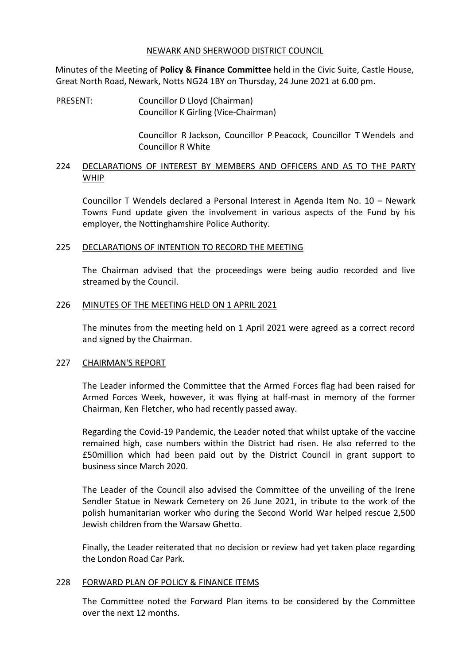#### NEWARK AND SHERWOOD DISTRICT COUNCIL

Minutes of the Meeting of **Policy & Finance Committee** held in the Civic Suite, Castle House, Great North Road, Newark, Notts NG24 1BY on Thursday, 24 June 2021 at 6.00 pm.

PRESENT: Councillor D Lloyd (Chairman) Councillor K Girling (Vice-Chairman)

> Councillor R Jackson, Councillor P Peacock, Councillor T Wendels and Councillor R White

# 224 DECLARATIONS OF INTEREST BY MEMBERS AND OFFICERS AND AS TO THE PARTY WHIP

Councillor T Wendels declared a Personal Interest in Agenda Item No. 10 – Newark Towns Fund update given the involvement in various aspects of the Fund by his employer, the Nottinghamshire Police Authority.

## 225 DECLARATIONS OF INTENTION TO RECORD THE MEETING

The Chairman advised that the proceedings were being audio recorded and live streamed by the Council.

#### 226 MINUTES OF THE MEETING HELD ON 1 APRIL 2021

The minutes from the meeting held on 1 April 2021 were agreed as a correct record and signed by the Chairman.

## 227 CHAIRMAN'S REPORT

The Leader informed the Committee that the Armed Forces flag had been raised for Armed Forces Week, however, it was flying at half-mast in memory of the former Chairman, Ken Fletcher, who had recently passed away.

Regarding the Covid-19 Pandemic, the Leader noted that whilst uptake of the vaccine remained high, case numbers within the District had risen. He also referred to the £50million which had been paid out by the District Council in grant support to business since March 2020.

The Leader of the Council also advised the Committee of the unveiling of the Irene Sendler Statue in Newark Cemetery on 26 June 2021, in tribute to the work of the polish humanitarian worker who during the Second World War helped rescue 2,500 Jewish children from the Warsaw Ghetto.

Finally, the Leader reiterated that no decision or review had yet taken place regarding the London Road Car Park.

#### 228 FORWARD PLAN OF POLICY & FINANCE ITEMS

The Committee noted the Forward Plan items to be considered by the Committee over the next 12 months.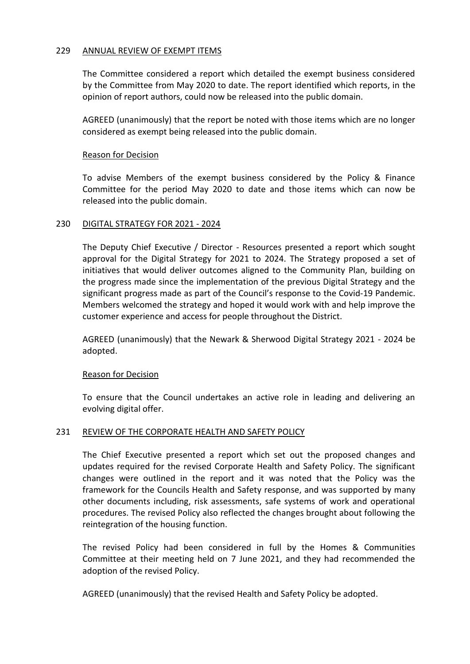## 229 ANNUAL REVIEW OF EXEMPT ITEMS

The Committee considered a report which detailed the exempt business considered by the Committee from May 2020 to date. The report identified which reports, in the opinion of report authors, could now be released into the public domain.

AGREED (unanimously) that the report be noted with those items which are no longer considered as exempt being released into the public domain.

#### Reason for Decision

To advise Members of the exempt business considered by the Policy & Finance Committee for the period May 2020 to date and those items which can now be released into the public domain.

#### 230 DIGITAL STRATEGY FOR 2021 - 2024

The Deputy Chief Executive / Director - Resources presented a report which sought approval for the Digital Strategy for 2021 to 2024. The Strategy proposed a set of initiatives that would deliver outcomes aligned to the Community Plan, building on the progress made since the implementation of the previous Digital Strategy and the significant progress made as part of the Council's response to the Covid-19 Pandemic. Members welcomed the strategy and hoped it would work with and help improve the customer experience and access for people throughout the District.

AGREED (unanimously) that the Newark & Sherwood Digital Strategy 2021 - 2024 be adopted.

## Reason for Decision

To ensure that the Council undertakes an active role in leading and delivering an evolving digital offer.

## 231 REVIEW OF THE CORPORATE HEALTH AND SAFETY POLICY

The Chief Executive presented a report which set out the proposed changes and updates required for the revised Corporate Health and Safety Policy. The significant changes were outlined in the report and it was noted that the Policy was the framework for the Councils Health and Safety response, and was supported by many other documents including, risk assessments, safe systems of work and operational procedures. The revised Policy also reflected the changes brought about following the reintegration of the housing function.

The revised Policy had been considered in full by the Homes & Communities Committee at their meeting held on 7 June 2021, and they had recommended the adoption of the revised Policy.

AGREED (unanimously) that the revised Health and Safety Policy be adopted.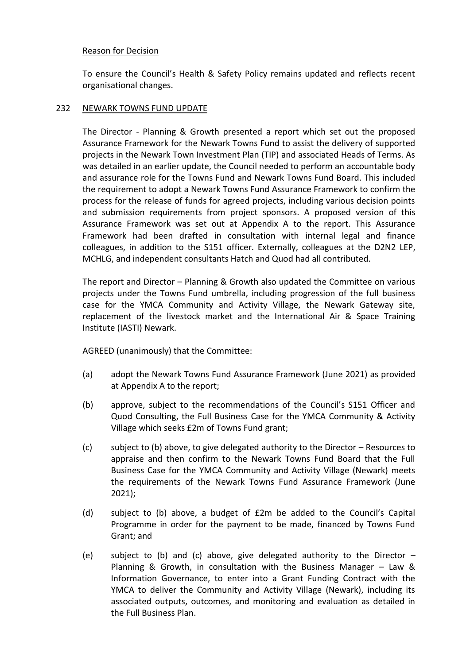To ensure the Council's Health & Safety Policy remains updated and reflects recent organisational changes.

# 232 NEWARK TOWNS FUND UPDATE

The Director - Planning & Growth presented a report which set out the proposed Assurance Framework for the Newark Towns Fund to assist the delivery of supported projects in the Newark Town Investment Plan (TIP) and associated Heads of Terms. As was detailed in an earlier update, the Council needed to perform an accountable body and assurance role for the Towns Fund and Newark Towns Fund Board. This included the requirement to adopt a Newark Towns Fund Assurance Framework to confirm the process for the release of funds for agreed projects, including various decision points and submission requirements from project sponsors. A proposed version of this Assurance Framework was set out at Appendix A to the report. This Assurance Framework had been drafted in consultation with internal legal and finance colleagues, in addition to the S151 officer. Externally, colleagues at the D2N2 LEP, MCHLG, and independent consultants Hatch and Quod had all contributed.

The report and Director – Planning & Growth also updated the Committee on various projects under the Towns Fund umbrella, including progression of the full business case for the YMCA Community and Activity Village, the Newark Gateway site, replacement of the livestock market and the International Air & Space Training Institute (IASTI) Newark.

AGREED (unanimously) that the Committee:

- (a) adopt the Newark Towns Fund Assurance Framework (June 2021) as provided at Appendix A to the report;
- (b) approve, subject to the recommendations of the Council's S151 Officer and Quod Consulting, the Full Business Case for the YMCA Community & Activity Village which seeks £2m of Towns Fund grant;
- (c) subject to (b) above, to give delegated authority to the Director Resources to appraise and then confirm to the Newark Towns Fund Board that the Full Business Case for the YMCA Community and Activity Village (Newark) meets the requirements of the Newark Towns Fund Assurance Framework (June 2021);
- (d) subject to (b) above, a budget of £2m be added to the Council's Capital Programme in order for the payment to be made, financed by Towns Fund Grant; and
- (e) subject to (b) and (c) above, give delegated authority to the Director  $-$ Planning & Growth, in consultation with the Business Manager – Law & Information Governance, to enter into a Grant Funding Contract with the YMCA to deliver the Community and Activity Village (Newark), including its associated outputs, outcomes, and monitoring and evaluation as detailed in the Full Business Plan.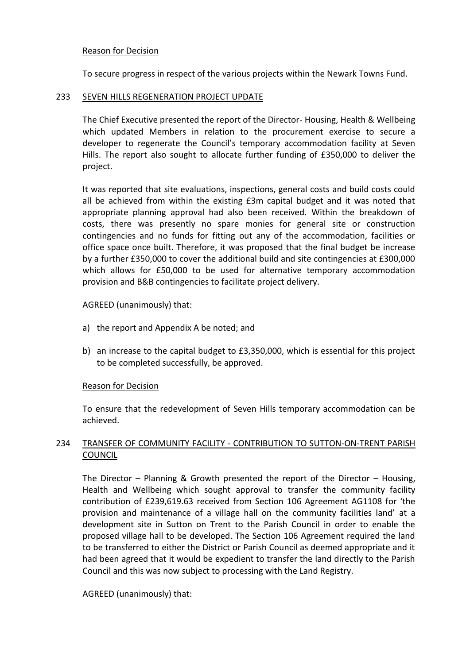To secure progress in respect of the various projects within the Newark Towns Fund.

#### 233 SEVEN HILLS REGENERATION PROJECT UPDATE

The Chief Executive presented the report of the Director- Housing, Health & Wellbeing which updated Members in relation to the procurement exercise to secure a developer to regenerate the Council's temporary accommodation facility at Seven Hills. The report also sought to allocate further funding of £350,000 to deliver the project.

It was reported that site evaluations, inspections, general costs and build costs could all be achieved from within the existing £3m capital budget and it was noted that appropriate planning approval had also been received. Within the breakdown of costs, there was presently no spare monies for general site or construction contingencies and no funds for fitting out any of the accommodation, facilities or office space once built. Therefore, it was proposed that the final budget be increase by a further £350,000 to cover the additional build and site contingencies at £300,000 which allows for £50,000 to be used for alternative temporary accommodation provision and B&B contingencies to facilitate project delivery.

## AGREED (unanimously) that:

- a) the report and Appendix A be noted; and
- b) an increase to the capital budget to £3,350,000, which is essential for this project to be completed successfully, be approved.

## Reason for Decision

To ensure that the redevelopment of Seven Hills temporary accommodation can be achieved.

# 234 TRANSFER OF COMMUNITY FACILITY - CONTRIBUTION TO SUTTON-ON-TRENT PARISH COUNCIL

The Director – Planning & Growth presented the report of the Director – Housing, Health and Wellbeing which sought approval to transfer the community facility contribution of £239,619.63 received from Section 106 Agreement AG1108 for 'the provision and maintenance of a village hall on the community facilities land' at a development site in Sutton on Trent to the Parish Council in order to enable the proposed village hall to be developed. The Section 106 Agreement required the land to be transferred to either the District or Parish Council as deemed appropriate and it had been agreed that it would be expedient to transfer the land directly to the Parish Council and this was now subject to processing with the Land Registry.

## AGREED (unanimously) that: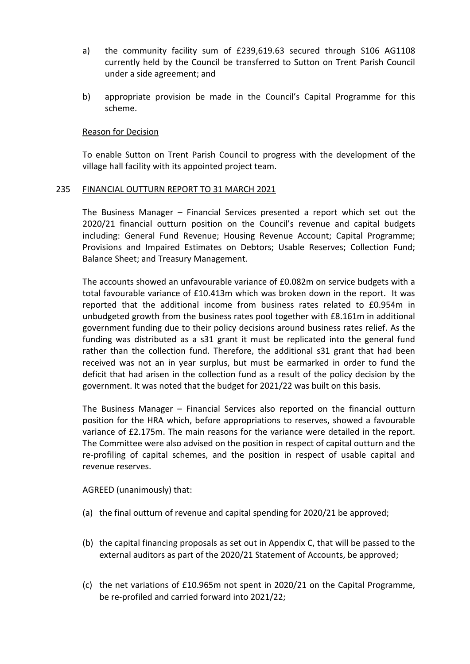- a) the community facility sum of £239,619.63 secured through S106 AG1108 currently held by the Council be transferred to Sutton on Trent Parish Council under a side agreement; and
- b) appropriate provision be made in the Council's Capital Programme for this scheme.

To enable Sutton on Trent Parish Council to progress with the development of the village hall facility with its appointed project team.

## 235 FINANCIAL OUTTURN REPORT TO 31 MARCH 2021

The Business Manager – Financial Services presented a report which set out the 2020/21 financial outturn position on the Council's revenue and capital budgets including: General Fund Revenue; Housing Revenue Account; Capital Programme; Provisions and Impaired Estimates on Debtors; Usable Reserves; Collection Fund; Balance Sheet; and Treasury Management.

The accounts showed an unfavourable variance of £0.082m on service budgets with a total favourable variance of £10.413m which was broken down in the report. It was reported that the additional income from business rates related to £0.954m in unbudgeted growth from the business rates pool together with £8.161m in additional government funding due to their policy decisions around business rates relief. As the funding was distributed as a s31 grant it must be replicated into the general fund rather than the collection fund. Therefore, the additional s31 grant that had been received was not an in year surplus, but must be earmarked in order to fund the deficit that had arisen in the collection fund as a result of the policy decision by the government. It was noted that the budget for 2021/22 was built on this basis.

The Business Manager – Financial Services also reported on the financial outturn position for the HRA which, before appropriations to reserves, showed a favourable variance of £2.175m. The main reasons for the variance were detailed in the report. The Committee were also advised on the position in respect of capital outturn and the re-profiling of capital schemes, and the position in respect of usable capital and revenue reserves.

AGREED (unanimously) that:

- (a) the final outturn of revenue and capital spending for 2020/21 be approved;
- (b) the capital financing proposals as set out in Appendix C, that will be passed to the external auditors as part of the 2020/21 Statement of Accounts, be approved;
- (c) the net variations of £10.965m not spent in 2020/21 on the Capital Programme, be re-profiled and carried forward into 2021/22;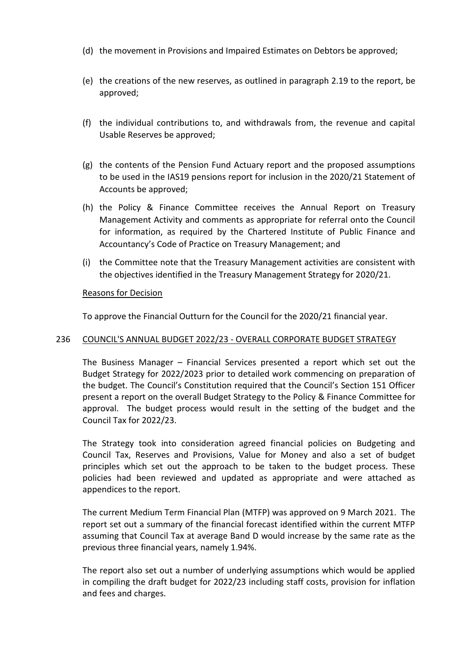- (d) the movement in Provisions and Impaired Estimates on Debtors be approved;
- (e) the creations of the new reserves, as outlined in paragraph 2.19 to the report, be approved;
- (f) the individual contributions to, and withdrawals from, the revenue and capital Usable Reserves be approved;
- (g) the contents of the Pension Fund Actuary report and the proposed assumptions to be used in the IAS19 pensions report for inclusion in the 2020/21 Statement of Accounts be approved;
- (h) the Policy & Finance Committee receives the Annual Report on Treasury Management Activity and comments as appropriate for referral onto the Council for information, as required by the Chartered Institute of Public Finance and Accountancy's Code of Practice on Treasury Management; and
- (i) the Committee note that the Treasury Management activities are consistent with the objectives identified in the Treasury Management Strategy for 2020/21.

To approve the Financial Outturn for the Council for the 2020/21 financial year.

## 236 COUNCIL'S ANNUAL BUDGET 2022/23 - OVERALL CORPORATE BUDGET STRATEGY

The Business Manager – Financial Services presented a report which set out the Budget Strategy for 2022/2023 prior to detailed work commencing on preparation of the budget. The Council's Constitution required that the Council's Section 151 Officer present a report on the overall Budget Strategy to the Policy & Finance Committee for approval. The budget process would result in the setting of the budget and the Council Tax for 2022/23.

The Strategy took into consideration agreed financial policies on Budgeting and Council Tax, Reserves and Provisions, Value for Money and also a set of budget principles which set out the approach to be taken to the budget process. These policies had been reviewed and updated as appropriate and were attached as appendices to the report.

The current Medium Term Financial Plan (MTFP) was approved on 9 March 2021. The report set out a summary of the financial forecast identified within the current MTFP assuming that Council Tax at average Band D would increase by the same rate as the previous three financial years, namely 1.94%.

The report also set out a number of underlying assumptions which would be applied in compiling the draft budget for 2022/23 including staff costs, provision for inflation and fees and charges.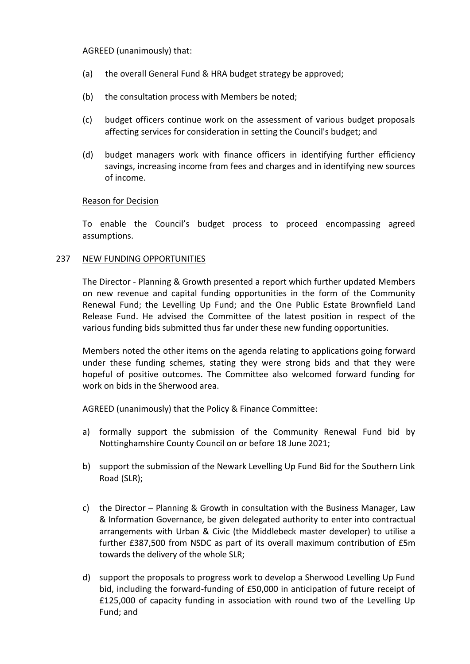# AGREED (unanimously) that:

- (a) the overall General Fund & HRA budget strategy be approved;
- (b) the consultation process with Members be noted;
- (c) budget officers continue work on the assessment of various budget proposals affecting services for consideration in setting the Council's budget; and
- (d) budget managers work with finance officers in identifying further efficiency savings, increasing income from fees and charges and in identifying new sources of income.

## Reason for Decision

To enable the Council's budget process to proceed encompassing agreed assumptions.

# 237 NEW FUNDING OPPORTUNITIES

The Director - Planning & Growth presented a report which further updated Members on new revenue and capital funding opportunities in the form of the Community Renewal Fund; the Levelling Up Fund; and the One Public Estate Brownfield Land Release Fund. He advised the Committee of the latest position in respect of the various funding bids submitted thus far under these new funding opportunities.

Members noted the other items on the agenda relating to applications going forward under these funding schemes, stating they were strong bids and that they were hopeful of positive outcomes. The Committee also welcomed forward funding for work on bids in the Sherwood area.

AGREED (unanimously) that the Policy & Finance Committee:

- a) formally support the submission of the Community Renewal Fund bid by Nottinghamshire County Council on or before 18 June 2021;
- b) support the submission of the Newark Levelling Up Fund Bid for the Southern Link Road (SLR);
- c) the Director Planning & Growth in consultation with the Business Manager, Law & Information Governance, be given delegated authority to enter into contractual arrangements with Urban & Civic (the Middlebeck master developer) to utilise a further £387,500 from NSDC as part of its overall maximum contribution of £5m towards the delivery of the whole SLR;
- d) support the proposals to progress work to develop a Sherwood Levelling Up Fund bid, including the forward-funding of £50,000 in anticipation of future receipt of £125,000 of capacity funding in association with round two of the Levelling Up Fund; and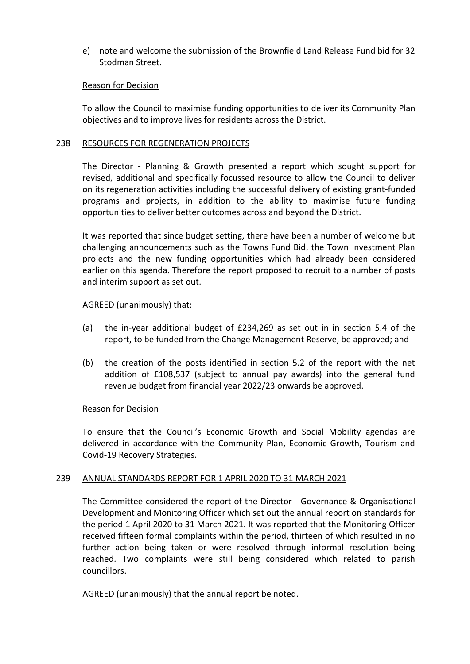e) note and welcome the submission of the Brownfield Land Release Fund bid for 32 Stodman Street.

## Reason for Decision

To allow the Council to maximise funding opportunities to deliver its Community Plan objectives and to improve lives for residents across the District.

#### 238 RESOURCES FOR REGENERATION PROJECTS

The Director - Planning & Growth presented a report which sought support for revised, additional and specifically focussed resource to allow the Council to deliver on its regeneration activities including the successful delivery of existing grant-funded programs and projects, in addition to the ability to maximise future funding opportunities to deliver better outcomes across and beyond the District.

It was reported that since budget setting, there have been a number of welcome but challenging announcements such as the Towns Fund Bid, the Town Investment Plan projects and the new funding opportunities which had already been considered earlier on this agenda. Therefore the report proposed to recruit to a number of posts and interim support as set out.

AGREED (unanimously) that:

- (a) the in-year additional budget of £234,269 as set out in in section 5.4 of the report, to be funded from the Change Management Reserve, be approved; and
- (b) the creation of the posts identified in section 5.2 of the report with the net addition of £108,537 (subject to annual pay awards) into the general fund revenue budget from financial year 2022/23 onwards be approved.

## Reason for Decision

To ensure that the Council's Economic Growth and Social Mobility agendas are delivered in accordance with the Community Plan, Economic Growth, Tourism and Covid-19 Recovery Strategies.

## 239 ANNUAL STANDARDS REPORT FOR 1 APRIL 2020 TO 31 MARCH 2021

The Committee considered the report of the Director - Governance & Organisational Development and Monitoring Officer which set out the annual report on standards for the period 1 April 2020 to 31 March 2021. It was reported that the Monitoring Officer received fifteen formal complaints within the period, thirteen of which resulted in no further action being taken or were resolved through informal resolution being reached. Two complaints were still being considered which related to parish councillors.

AGREED (unanimously) that the annual report be noted.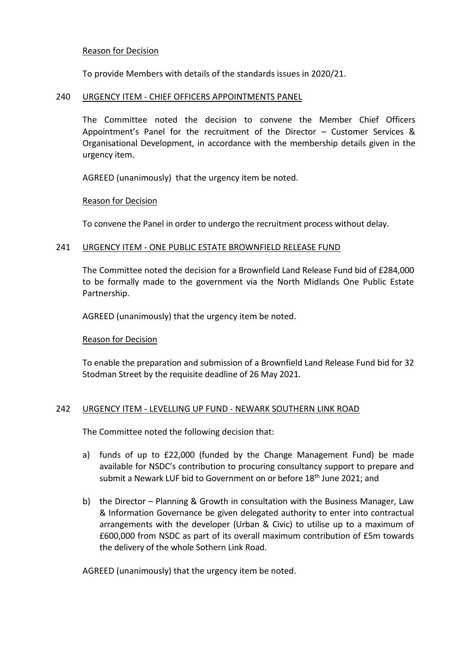To provide Members with details of the standards issues in 2020/21.

#### 240 URGENCY ITEM - CHIEF OFFICERS APPOINTMENTS PANEL

The Committee noted the decision to convene the Member Chief Officers Appointment's Panel for the recruitment of the Director – Customer Services & Organisational Development, in accordance with the membership details given in the urgency item.

AGREED (unanimously) that the urgency item be noted.

#### Reason for Decision

To convene the Panel in order to undergo the recruitment process without delay.

#### 241 URGENCY ITEM - ONE PUBLIC ESTATE BROWNFIELD RELEASE FUND

The Committee noted the decision for a Brownfield Land Release Fund bid of £284,000 to be formally made to the government via the North Midlands One Public Estate Partnership.

AGREED (unanimously) that the urgency item be noted.

#### Reason for Decision

To enable the preparation and submission of a Brownfield Land Release Fund bid for 32 Stodman Street by the requisite deadline of 26 May 2021.

#### 242 URGENCY ITEM - LEVELLING UP FUND - NEWARK SOUTHERN LINK ROAD

The Committee noted the following decision that:

- a) funds of up to £22,000 (funded by the Change Management Fund) be made available for NSDC's contribution to procuring consultancy support to prepare and submit a Newark LUF bid to Government on or before 18<sup>th</sup> June 2021; and
- b) the Director Planning & Growth in consultation with the Business Manager, Law & Information Governance be given delegated authority to enter into contractual arrangements with the developer (Urban & Civic) to utilise up to a maximum of £600,000 from NSDC as part of its overall maximum contribution of £5m towards the delivery of the whole Sothern Link Road.

AGREED (unanimously) that the urgency item be noted.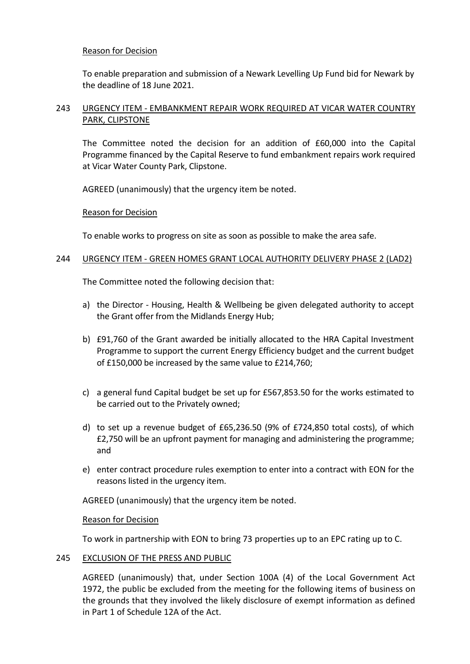To enable preparation and submission of a Newark Levelling Up Fund bid for Newark by the deadline of 18 June 2021.

# 243 URGENCY ITEM - EMBANKMENT REPAIR WORK REQUIRED AT VICAR WATER COUNTRY PARK, CLIPSTONE

The Committee noted the decision for an addition of £60,000 into the Capital Programme financed by the Capital Reserve to fund embankment repairs work required at Vicar Water County Park, Clipstone.

AGREED (unanimously) that the urgency item be noted.

## Reason for Decision

To enable works to progress on site as soon as possible to make the area safe.

# 244 URGENCY ITEM - GREEN HOMES GRANT LOCAL AUTHORITY DELIVERY PHASE 2 (LAD2)

The Committee noted the following decision that:

- a) the Director Housing, Health & Wellbeing be given delegated authority to accept the Grant offer from the Midlands Energy Hub;
- b) £91,760 of the Grant awarded be initially allocated to the HRA Capital Investment Programme to support the current Energy Efficiency budget and the current budget of £150,000 be increased by the same value to £214,760;
- c) a general fund Capital budget be set up for £567,853.50 for the works estimated to be carried out to the Privately owned;
- d) to set up a revenue budget of £65,236.50 (9% of £724,850 total costs), of which £2,750 will be an upfront payment for managing and administering the programme; and
- e) enter contract procedure rules exemption to enter into a contract with EON for the reasons listed in the urgency item.

AGREED (unanimously) that the urgency item be noted.

## Reason for Decision

To work in partnership with EON to bring 73 properties up to an EPC rating up to C.

## 245 EXCLUSION OF THE PRESS AND PUBLIC

AGREED (unanimously) that, under Section 100A (4) of the Local Government Act 1972, the public be excluded from the meeting for the following items of business on the grounds that they involved the likely disclosure of exempt information as defined in Part 1 of Schedule 12A of the Act.